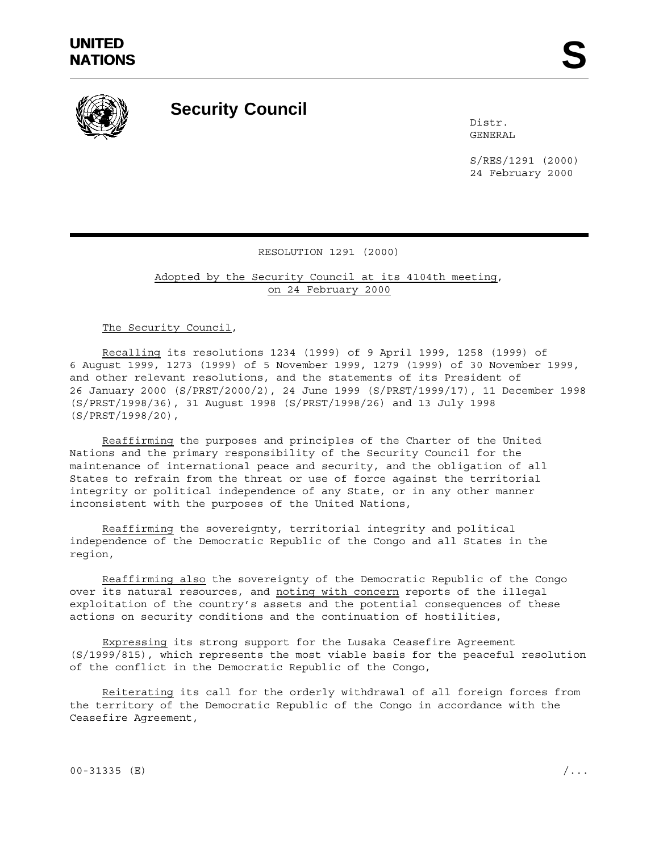

## **Security Council**

Distr. GENERAL

S/RES/1291 (2000) 24 February 2000

## RESOLUTION 1291 (2000)

Adopted by the Security Council at its 4104th meeting, on 24 February 2000

The Security Council,

Recalling its resolutions 1234 (1999) of 9 April 1999, 1258 (1999) of 6 August 1999, 1273 (1999) of 5 November 1999, 1279 (1999) of 30 November 1999, and other relevant resolutions, and the statements of its President of 26 January 2000 (S/PRST/2000/2), 24 June 1999 (S/PRST/1999/17), 11 December 1998 (S/PRST/1998/36), 31 August 1998 (S/PRST/1998/26) and 13 July 1998 (S/PRST/1998/20),

Reaffirming the purposes and principles of the Charter of the United Nations and the primary responsibility of the Security Council for the maintenance of international peace and security, and the obligation of all States to refrain from the threat or use of force against the territorial integrity or political independence of any State, or in any other manner inconsistent with the purposes of the United Nations,

Reaffirming the sovereignty, territorial integrity and political independence of the Democratic Republic of the Congo and all States in the region,

Reaffirming also the sovereignty of the Democratic Republic of the Congo over its natural resources, and noting with concern reports of the illegal exploitation of the country's assets and the potential consequences of these actions on security conditions and the continuation of hostilities,

Expressing its strong support for the Lusaka Ceasefire Agreement (S/1999/815), which represents the most viable basis for the peaceful resolution of the conflict in the Democratic Republic of the Congo,

Reiterating its call for the orderly withdrawal of all foreign forces from the territory of the Democratic Republic of the Congo in accordance with the Ceasefire Agreement,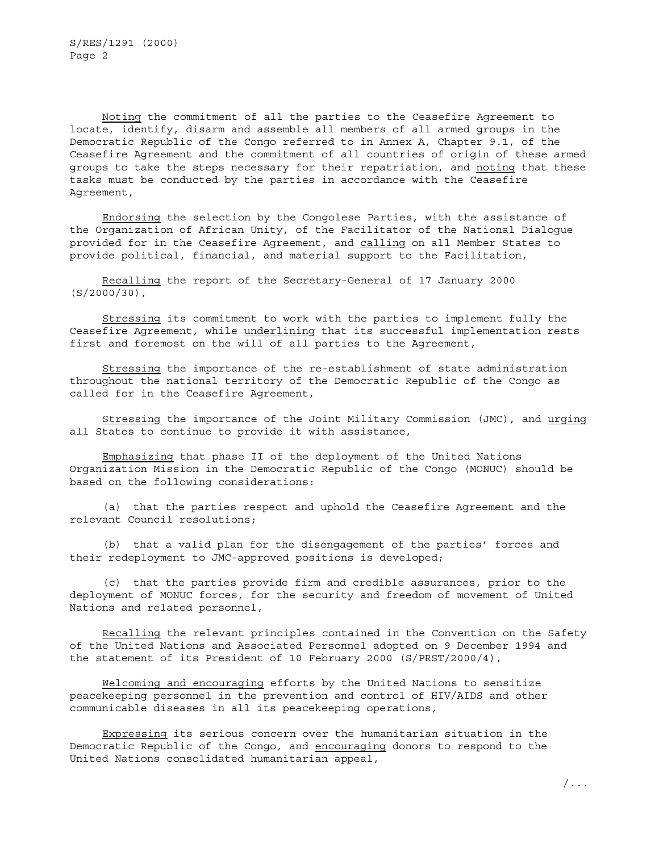S/RES/1291 (2000) Page 2

Noting the commitment of all the parties to the Ceasefire Agreement to locate, identify, disarm and assemble all members of all armed groups in the Democratic Republic of the Congo referred to in Annex A, Chapter 9.1, of the Ceasefire Agreement and the commitment of all countries of origin of these armed groups to take the steps necessary for their repatriation, and noting that these tasks must be conducted by the parties in accordance with the Ceasefire Agreement,

Endorsing the selection by the Congolese Parties, with the assistance of the Organization of African Unity, of the Facilitator of the National Dialogue provided for in the Ceasefire Agreement, and calling on all Member States to provide political, financial, and material support to the Facilitation,

Recalling the report of the Secretary-General of 17 January 2000 (S/2000/30),

Stressing its commitment to work with the parties to implement fully the Ceasefire Agreement, while underlining that its successful implementation rests first and foremost on the will of all parties to the Agreement,

Stressing the importance of the re-establishment of state administration throughout the national territory of the Democratic Republic of the Congo as called for in the Ceasefire Agreement,

Stressing the importance of the Joint Military Commission (JMC), and urging all States to continue to provide it with assistance,

Emphasizing that phase II of the deployment of the United Nations Organization Mission in the Democratic Republic of the Congo (MONUC) should be based on the following considerations:

(a) that the parties respect and uphold the Ceasefire Agreement and the relevant Council resolutions;

(b) that a valid plan for the disengagement of the parties' forces and their redeployment to JMC-approved positions is developed;

(c) that the parties provide firm and credible assurances, prior to the deployment of MONUC forces, for the security and freedom of movement of United Nations and related personnel,

Recalling the relevant principles contained in the Convention on the Safety of the United Nations and Associated Personnel adopted on 9 December 1994 and the statement of its President of 10 February 2000 (S/PRST/2000/4),

Welcoming and encouraging efforts by the United Nations to sensitize peacekeeping personnel in the prevention and control of HIV/AIDS and other communicable diseases in all its peacekeeping operations,

Expressing its serious concern over the humanitarian situation in the Democratic Republic of the Congo, and encouraging donors to respond to the United Nations consolidated humanitarian appeal,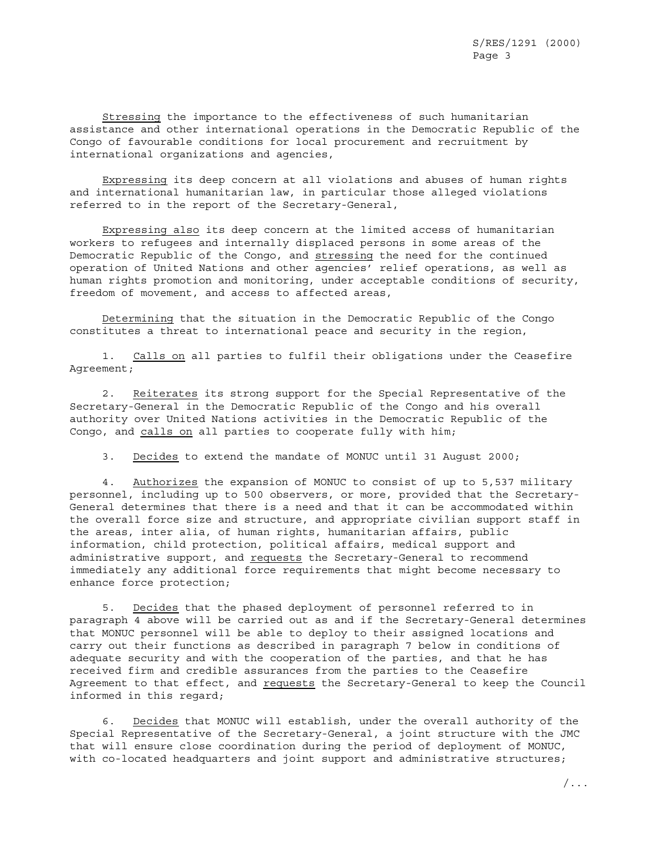Stressing the importance to the effectiveness of such humanitarian assistance and other international operations in the Democratic Republic of the Congo of favourable conditions for local procurement and recruitment by international organizations and agencies,

Expressing its deep concern at all violations and abuses of human rights and international humanitarian law, in particular those alleged violations referred to in the report of the Secretary-General,

Expressing also its deep concern at the limited access of humanitarian workers to refugees and internally displaced persons in some areas of the Democratic Republic of the Congo, and stressing the need for the continued operation of United Nations and other agencies' relief operations, as well as human rights promotion and monitoring, under acceptable conditions of security, freedom of movement, and access to affected areas,

Determining that the situation in the Democratic Republic of the Congo constitutes a threat to international peace and security in the region,

1. Calls on all parties to fulfil their obligations under the Ceasefire Agreement;

2. Reiterates its strong support for the Special Representative of the Secretary-General in the Democratic Republic of the Congo and his overall authority over United Nations activities in the Democratic Republic of the Congo, and calls on all parties to cooperate fully with him;

3. Decides to extend the mandate of MONUC until 31 August 2000;

4. Authorizes the expansion of MONUC to consist of up to 5,537 military personnel, including up to 500 observers, or more, provided that the Secretary-General determines that there is a need and that it can be accommodated within the overall force size and structure, and appropriate civilian support staff in the areas, inter alia, of human rights, humanitarian affairs, public information, child protection, political affairs, medical support and administrative support, and requests the Secretary-General to recommend immediately any additional force requirements that might become necessary to enhance force protection;

5. Decides that the phased deployment of personnel referred to in paragraph 4 above will be carried out as and if the Secretary-General determines that MONUC personnel will be able to deploy to their assigned locations and carry out their functions as described in paragraph 7 below in conditions of adequate security and with the cooperation of the parties, and that he has received firm and credible assurances from the parties to the Ceasefire Agreement to that effect, and requests the Secretary-General to keep the Council informed in this regard;

6. Decides that MONUC will establish, under the overall authority of the Special Representative of the Secretary-General, a joint structure with the JMC that will ensure close coordination during the period of deployment of MONUC, with co-located headquarters and joint support and administrative structures;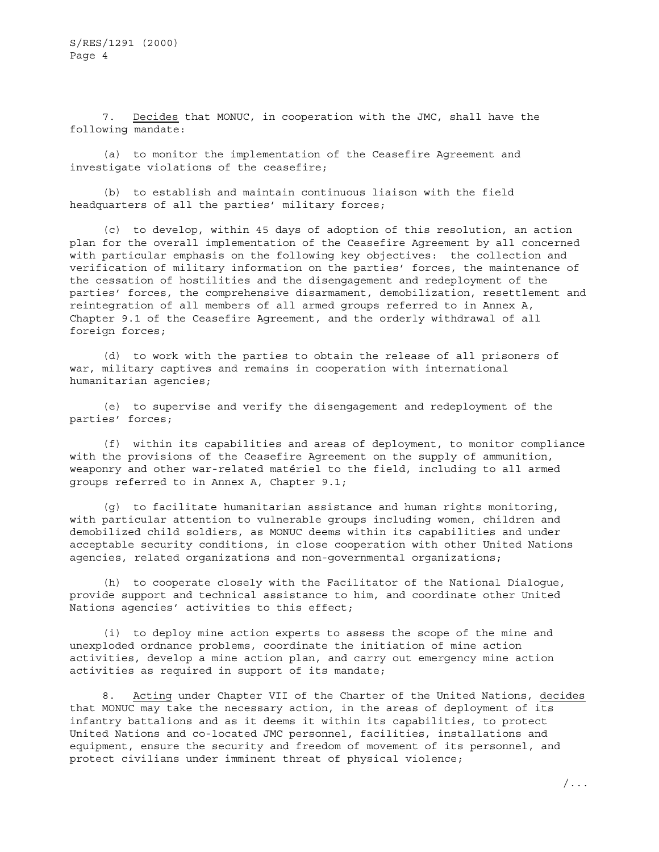7. Decides that MONUC, in cooperation with the JMC, shall have the following mandate:

(a) to monitor the implementation of the Ceasefire Agreement and investigate violations of the ceasefire;

(b) to establish and maintain continuous liaison with the field headquarters of all the parties' military forces;

(c) to develop, within 45 days of adoption of this resolution, an action plan for the overall implementation of the Ceasefire Agreement by all concerned with particular emphasis on the following key objectives: the collection and verification of military information on the parties' forces, the maintenance of the cessation of hostilities and the disengagement and redeployment of the parties' forces, the comprehensive disarmament, demobilization, resettlement and reintegration of all members of all armed groups referred to in Annex A, Chapter 9.1 of the Ceasefire Agreement, and the orderly withdrawal of all foreign forces;

(d) to work with the parties to obtain the release of all prisoners of war, military captives and remains in cooperation with international humanitarian agencies;

(e) to supervise and verify the disengagement and redeployment of the parties' forces;

(f) within its capabilities and areas of deployment, to monitor compliance with the provisions of the Ceasefire Agreement on the supply of ammunition, weaponry and other war-related matériel to the field, including to all armed groups referred to in Annex A, Chapter 9.1;

(g) to facilitate humanitarian assistance and human rights monitoring, with particular attention to vulnerable groups including women, children and demobilized child soldiers, as MONUC deems within its capabilities and under acceptable security conditions, in close cooperation with other United Nations agencies, related organizations and non-governmental organizations;

(h) to cooperate closely with the Facilitator of the National Dialogue, provide support and technical assistance to him, and coordinate other United Nations agencies' activities to this effect;

(i) to deploy mine action experts to assess the scope of the mine and unexploded ordnance problems, coordinate the initiation of mine action activities, develop a mine action plan, and carry out emergency mine action activities as required in support of its mandate;

8. Acting under Chapter VII of the Charter of the United Nations, decides that MONUC may take the necessary action, in the areas of deployment of its infantry battalions and as it deems it within its capabilities, to protect United Nations and co-located JMC personnel, facilities, installations and equipment, ensure the security and freedom of movement of its personnel, and protect civilians under imminent threat of physical violence;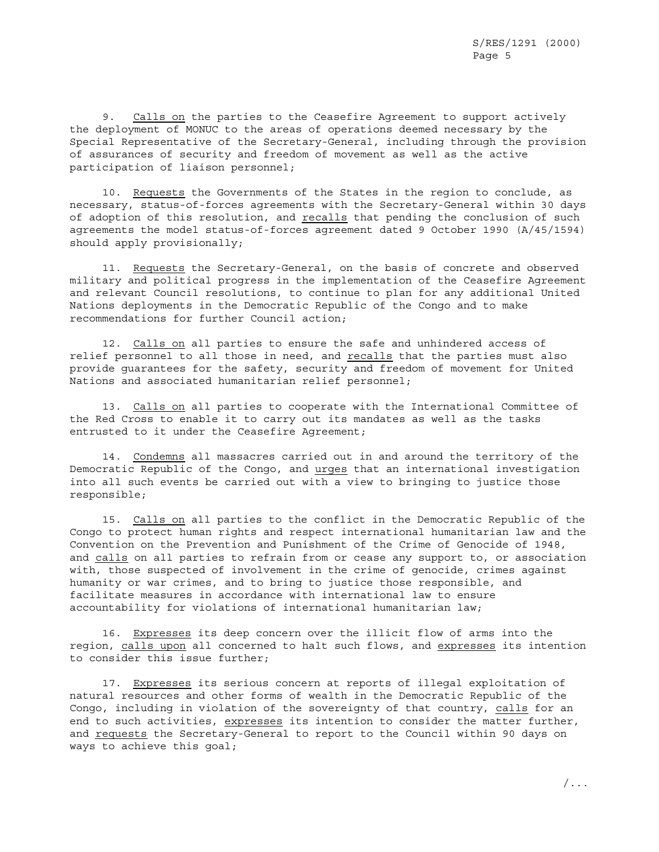9. Calls on the parties to the Ceasefire Agreement to support actively the deployment of MONUC to the areas of operations deemed necessary by the Special Representative of the Secretary-General, including through the provision of assurances of security and freedom of movement as well as the active participation of liaison personnel;

10. Requests the Governments of the States in the region to conclude, as necessary, status-of-forces agreements with the Secretary-General within 30 days of adoption of this resolution, and recalls that pending the conclusion of such agreements the model status-of-forces agreement dated 9 October 1990 (A/45/1594) should apply provisionally;

11. Requests the Secretary-General, on the basis of concrete and observed military and political progress in the implementation of the Ceasefire Agreement and relevant Council resolutions, to continue to plan for any additional United Nations deployments in the Democratic Republic of the Congo and to make recommendations for further Council action;

12. Calls on all parties to ensure the safe and unhindered access of relief personnel to all those in need, and recalls that the parties must also provide guarantees for the safety, security and freedom of movement for United Nations and associated humanitarian relief personnel;

13. Calls on all parties to cooperate with the International Committee of the Red Cross to enable it to carry out its mandates as well as the tasks entrusted to it under the Ceasefire Agreement;

14. Condemns all massacres carried out in and around the territory of the Democratic Republic of the Congo, and urges that an international investigation into all such events be carried out with a view to bringing to justice those responsible;

15. Calls on all parties to the conflict in the Democratic Republic of the Congo to protect human rights and respect international humanitarian law and the Convention on the Prevention and Punishment of the Crime of Genocide of 1948, and calls on all parties to refrain from or cease any support to, or association with, those suspected of involvement in the crime of genocide, crimes against humanity or war crimes, and to bring to justice those responsible, and facilitate measures in accordance with international law to ensure accountability for violations of international humanitarian law;

16. Expresses its deep concern over the illicit flow of arms into the region, calls upon all concerned to halt such flows, and expresses its intention to consider this issue further;

17. Expresses its serious concern at reports of illegal exploitation of natural resources and other forms of wealth in the Democratic Republic of the Congo, including in violation of the sovereignty of that country, calls for an end to such activities, expresses its intention to consider the matter further, and requests the Secretary-General to report to the Council within 90 days on ways to achieve this goal;